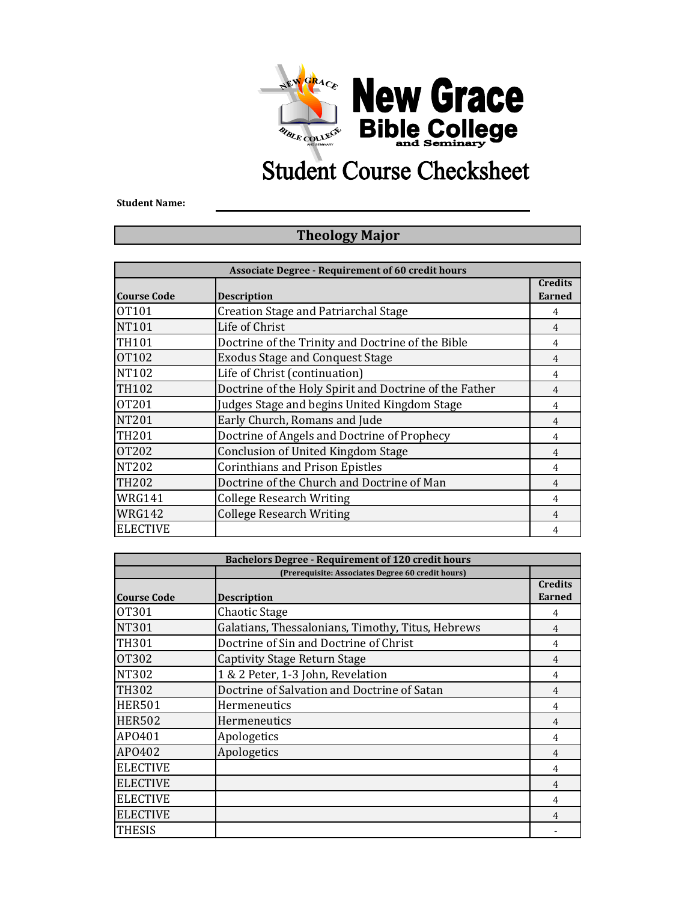

## **Student Course Checksheet**

**Student Name:**

## **Theology Major**

| <b>Associate Degree - Requirement of 60 credit hours</b> |                                                        |                                 |  |  |
|----------------------------------------------------------|--------------------------------------------------------|---------------------------------|--|--|
| <b>Course Code</b>                                       | <b>Description</b>                                     | <b>Credits</b><br><b>Earned</b> |  |  |
| 0T <sub>101</sub>                                        | Creation Stage and Patriarchal Stage                   | 4                               |  |  |
| <b>NT101</b>                                             | Life of Christ                                         | 4                               |  |  |
| <b>TH101</b>                                             | Doctrine of the Trinity and Doctrine of the Bible      | 4                               |  |  |
| <b>OT102</b>                                             | <b>Exodus Stage and Conquest Stage</b>                 | 4                               |  |  |
| <b>NT102</b>                                             | Life of Christ (continuation)                          | 4                               |  |  |
| TH102                                                    | Doctrine of the Holy Spirit and Doctrine of the Father | $\overline{4}$                  |  |  |
| <b>OT201</b>                                             | Judges Stage and begins United Kingdom Stage           | 4                               |  |  |
| <b>NT201</b>                                             | Early Church, Romans and Jude                          | $\overline{4}$                  |  |  |
| <b>TH201</b>                                             | Doctrine of Angels and Doctrine of Prophecy            | 4                               |  |  |
| <b>OT202</b>                                             | Conclusion of United Kingdom Stage                     | 4                               |  |  |
| NT202                                                    | <b>Corinthians and Prison Epistles</b>                 | 4                               |  |  |
| <b>TH202</b>                                             | Doctrine of the Church and Doctrine of Man             | $\overline{4}$                  |  |  |
| <b>WRG141</b>                                            | <b>College Research Writing</b>                        | 4                               |  |  |
| <b>WRG142</b>                                            | <b>College Research Writing</b>                        | 4                               |  |  |
| <b>ELECTIVE</b>                                          |                                                        | 4                               |  |  |

| <b>Bachelors Degree - Requirement of 120 credit hours</b> |                                                   |                                 |  |
|-----------------------------------------------------------|---------------------------------------------------|---------------------------------|--|
|                                                           | (Prerequisite: Associates Degree 60 credit hours) |                                 |  |
| <b>Course Code</b>                                        | <b>Description</b>                                | <b>Credits</b><br><b>Earned</b> |  |
| OT301                                                     | Chaotic Stage                                     | 4                               |  |
| <b>NT301</b>                                              | Galatians, Thessalonians, Timothy, Titus, Hebrews | $\overline{4}$                  |  |
| TH301                                                     | Doctrine of Sin and Doctrine of Christ            | 4                               |  |
| <b>OT302</b>                                              | Captivity Stage Return Stage                      | 4                               |  |
| <b>NT302</b>                                              | 1 & 2 Peter, 1-3 John, Revelation                 | 4                               |  |
| <b>TH302</b>                                              | Doctrine of Salvation and Doctrine of Satan       | 4                               |  |
| <b>HER501</b>                                             | Hermeneutics                                      | 4                               |  |
| <b>HER502</b>                                             | Hermeneutics                                      | 4                               |  |
| AP0401                                                    | Apologetics                                       | 4                               |  |
| AP0402                                                    | Apologetics                                       | 4                               |  |
| <b>ELECTIVE</b>                                           |                                                   | 4                               |  |
| <b>ELECTIVE</b>                                           |                                                   | $\overline{4}$                  |  |
| <b>ELECTIVE</b>                                           |                                                   | 4                               |  |
| <b>ELECTIVE</b>                                           |                                                   | $\overline{4}$                  |  |
| <b>THESIS</b>                                             |                                                   |                                 |  |